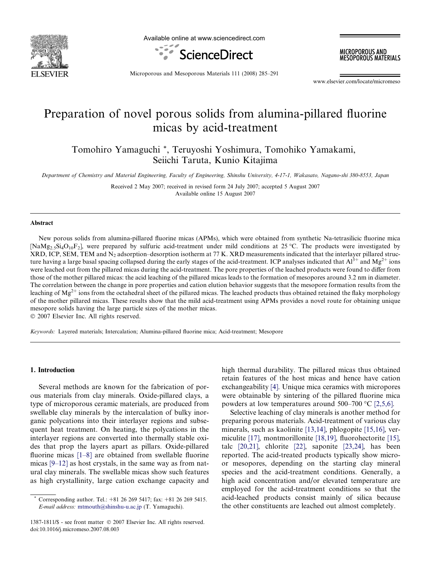

Available online at www.sciencedirect.com



MICROPOROUS AND **MESOPOROUS MATERIALS** 

Microporous and Mesoporous Materials 111 (2008) 285–291

www.elsevier.com/locate/micromeso

# Preparation of novel porous solids from alumina-pillared fluorine micas by acid-treatment

Tomohiro Yamaguchi \*, Teruyoshi Yoshimura, Tomohiko Yamakami, Seiichi Taruta, Kunio Kitajima

Department of Chemistry and Material Engineering, Faculty of Engineering, Shinshu University, 4-17-1, Wakasato, Nagano-shi 380-8553, Japan

Received 2 May 2007; received in revised form 24 July 2007; accepted 5 August 2007 Available online 15 August 2007

#### Abstract

New porous solids from alumina-pillared fluorine micas (APMs), which were obtained from synthetic Na-tetrasilicic fluorine mica [NaMg<sub>2.5</sub>Si<sub>4</sub>O<sub>10</sub>F<sub>2</sub>], were prepared by sulfuric acid-treatment under mild conditions at 25 °C. The products were investigated by  $XRD$ , ICP, SEM, TEM and N<sub>2</sub> adsorption–desorption isotherm at 77 K.  $XRD$  measurements indicated that the interlayer pillared structure having a large basal spacing collapsed during the early stages of the acid-treatment. ICP analyses indicated that  $Al^{3+}$  and  $Mg^{2+}$  ions were leached out from the pillared micas during the acid-treatment. The pore properties of the leached products were found to differ from those of the mother pillared micas: the acid leaching of the pillared micas leads to the formation of mesopores around 3.2 nm in diameter. The correlation between the change in pore properties and cation elution behavior suggests that the mesopore formation results from the leaching of  $Mg^{2+}$  ions from the octahedral sheet of the pillared micas. The leached products thus obtained retained the flaky morphology of the mother pillared micas. These results show that the mild acid-treatment using APMs provides a novel route for obtaining unique mesopore solids having the large particle sizes of the mother micas.

2007 Elsevier Inc. All rights reserved.

Keywords: Layered materials; Intercalation; Alumina-pillared fluorine mica; Acid-treatment; Mesopore

#### 1. Introduction

Several methods are known for the fabrication of porous materials from clay minerals. Oxide-pillared clays, a type of microporous ceramic materials, are produced from swellable clay minerals by the intercalation of bulky inorganic polycations into their interlayer regions and subsequent heat treatment. On heating, the polycations in the interlayer regions are converted into thermally stable oxides that prop the layers apart as pillars. Oxide-pillared fluorine micas [\[1–8\]](#page-6-0) are obtained from swellable fluorine micas [\[9–12\]](#page-6-0) as host crystals, in the same way as from natural clay minerals. The swellable micas show such features as high crystallinity, large cation exchange capacity and high thermal durability. The pillared micas thus obtained retain features of the host micas and hence have cation exchangeability [\[4\].](#page-6-0) Unique mica ceramics with micropores were obtainable by sintering of the pillared fluorine mica powders at low temperatures around  $500-700$  °C [\[2,5,6\].](#page-6-0)

Selective leaching of clay minerals is another method for preparing porous materials. Acid-treatment of various clay minerals, such as kaolinite [\[13,14\]](#page-6-0), phlogopite [\[15,16\]](#page-6-0), vermiculite [\[17\]](#page-6-0), montmorillonite [\[18,19\],](#page-6-0) fluorohectorite [\[15\],](#page-6-0) talc [\[20,21\],](#page-6-0) chlorite [\[22\]](#page-6-0), saponite [\[23,24\]](#page-6-0), has been reported. The acid-treated products typically show microor mesopores, depending on the starting clay mineral species and the acid-treatment conditions. Generally, a high acid concentration and/or elevated temperature are employed for the acid-treatment conditions so that the acid-leached products consist mainly of silica because the other constituents are leached out almost completely.

Corresponding author. Tel.:  $+81$  26 269 5417; fax:  $+81$  26 269 5415. E-mail address: [mtmouth@shinshu-u.ac.jp](mailto:mtmouth@shinshu-u.ac.jp) (T. Yamaguchi).

<sup>1387-1811/\$ -</sup> see front matter  $\odot$  2007 Elsevier Inc. All rights reserved. doi:10.1016/j.micromeso.2007.08.003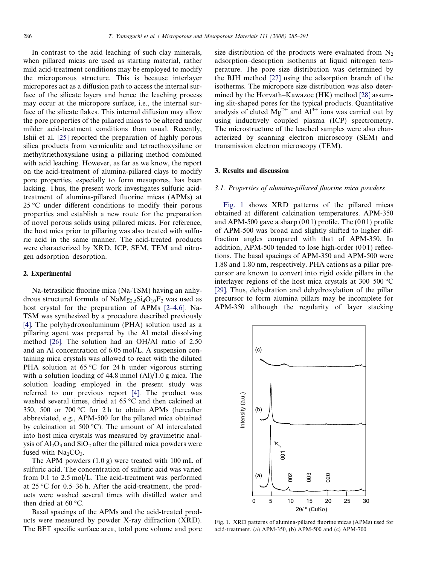In contrast to the acid leaching of such clay minerals, when pillared micas are used as starting material, rather mild acid-treatment conditions may be employed to modify the microporous structure. This is because interlayer micropores act as a diffusion path to access the internal surface of the silicate layers and hence the leaching process may occur at the micropore surface, i.e., the internal surface of the silicate flakes. This internal diffusion may allow the pore properties of the pillared micas to be altered under milder acid-treatment conditions than usual. Recently, Ishii et al. [\[25\]](#page-6-0) reported the preparation of highly porous silica products from vermiculite and tetraethoxysilane or methyltriethoxysilane using a pillaring method combined with acid leaching. However, as far as we know, the report on the acid-treatment of alumina-pillared clays to modify pore properties, especially to form mesopores, has been lacking. Thus, the present work investigates sulfuric acidtreatment of alumina-pillared fluorine micas (APMs) at 25 °C under different conditions to modify their porous properties and establish a new route for the preparation of novel porous solids using pillared micas. For reference, the host mica prior to pillaring was also treated with sulfuric acid in the same manner. The acid-treated products were characterized by XRD, ICP, SEM, TEM and nitrogen adsorption–desorption.

### 2. Experimental

Na-tetrasilicic fluorine mica (Na-TSM) having an anhydrous structural formula of  $NaMg_2.5Si_4O_{10}F_2$  was used as host crystal for the preparation of APMs [\[2–4,6\].](#page-6-0) Na-TSM was synthesized by a procedure described previously [\[4\]](#page-6-0). The polyhydroxoaluminum (PHA) solution used as a pillaring agent was prepared by the Al metal dissolving method [\[26\].](#page-6-0) The solution had an OH/Al ratio of 2.50 and an Al concentration of 6.05 mol/L. A suspension containing mica crystals was allowed to react with the diluted PHA solution at  $65^{\circ}$ C for 24 h under vigorous stirring with a solution loading of 44.8 mmol (Al)/1.0 g mica. The solution loading employed in the present study was referred to our previous report [\[4\]](#page-6-0). The product was washed several times, dried at  $65^{\circ}$ C and then calcined at 350, 500 or 700 °C for 2 h to obtain APMs (hereafter abbreviated, e.g., APM-500 for the pillared mica obtained by calcination at 500 °C). The amount of Al intercalated into host mica crystals was measured by gravimetric analysis of  $Al_2O_3$  and  $SiO_2$  after the pillared mica powders were fused with  $Na<sub>2</sub>CO<sub>3</sub>$ .

The APM powders (1.0 g) were treated with 100 mL of sulfuric acid. The concentration of sulfuric acid was varied from 0.1 to 2.5 mol/L. The acid-treatment was performed at  $25 \text{ °C}$  for 0.5–36 h. After the acid-treatment, the products were washed several times with distilled water and then dried at  $60^{\circ}$ C.

Basal spacings of the APMs and the acid-treated products were measured by powder X-ray diffraction (XRD). The BET specific surface area, total pore volume and pore size distribution of the products were evaluated from  $N<sub>2</sub>$ adsorption–desorption isotherms at liquid nitrogen temperature. The pore size distribution was determined by the BJH method [\[27\]](#page-6-0) using the adsorption branch of the isotherms. The micropore size distribution was also determined by the Horvath–Kawazoe (HK) method [\[28\]](#page-6-0) assuming slit-shaped pores for the typical products. Quantitative analysis of eluted  $Mg^{2+}$  and  $Al^{3+}$  ions was carried out by using inductively coupled plasma (ICP) spectrometry. The microstructure of the leached samples were also characterized by scanning electron microscopy (SEM) and transmission electron microscopy (TEM).

### 3. Results and discussion

#### 3.1. Properties of alumina-pillared fluorine mica powders

Fig. 1 shows XRD patterns of the pillared micas obtained at different calcination temperatures. APM-350 and APM-500 gave a sharp  $(001)$  profile. The  $(001)$  profile of APM-500 was broad and slightly shifted to higher diffraction angles compared with that of APM-350. In addition, APM-500 tended to lose high-order  $(001)$  reflections. The basal spacings of APM-350 and APM-500 were 1.88 and 1.80 nm, respectively. PHA cations as a pillar precursor are known to convert into rigid oxide pillars in the interlayer regions of the host mica crystals at  $300-500$  °C [\[29\]](#page-6-0). Thus, dehydration and dehydroxylation of the pillar precursor to form alumina pillars may be incomplete for APM-350 although the regularity of layer stacking



Fig. 1. XRD patterns of alumina-pillared fluorine micas (APMs) used for acid-treatment. (a) APM-350, (b) APM-500 and (c) APM-700.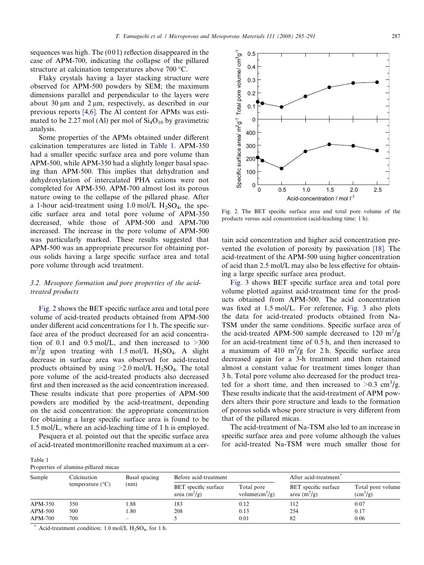sequences was high. The  $(001)$  reflection disappeared in the case of APM-700, indicating the collapse of the pillared structure at calcination temperatures above  $700 \degree C$ .

Flaky crystals having a layer stacking structure were observed for APM-500 powders by SEM; the maximum dimensions parallel and perpendicular to the layers were about 30  $\mu$ m and 2  $\mu$ m, respectively, as described in our previous reports [\[4,6\]](#page-6-0). The Al content for APMs was estimated to be 2.27 mol (Al) per mol of  $Si<sub>4</sub>O<sub>10</sub>$  by gravimetric analysis.

Some properties of the APMs obtained under different calcination temperatures are listed in Table 1. APM-350 had a smaller specific surface area and pore volume than APM-500, while APM-350 had a slightly longer basal spacing than APM-500. This implies that dehydration and dehydroxylation of intercalated PHA cations were not completed for APM-350. APM-700 almost lost its porous nature owing to the collapse of the pillared phase. After a 1-hour acid-treatment using 1.0 mol/L  $H_2SO_4$ , the specific surface area and total pore volume of APM-350 decreased, while those of APM-500 and APM-700 increased. The increase in the pore volume of APM-500 was particularly marked. These results suggested that APM-500 was an appropriate precursor for obtaining porous solids having a large specific surface area and total pore volume through acid treatment.

## 3.2. Mesopore formation and pore properties of the acidtreated products

Fig. 2 shows the BET specific surface area and total pore volume of acid-treated products obtained from APM-500 under different acid concentrations for 1 h. The specific surface area of the product decreased for an acid concentration of 0.1 and 0.5 mol/L, and then increased to  $>300$  $\text{m}^2/\text{g}$  upon treating with 1.5 mol/L H<sub>2</sub>SO<sub>4</sub>. A slight decrease in surface area was observed for acid-treated products obtained by using  $\geq 2.0$  mol/L H<sub>2</sub>SO<sub>4</sub>. The total pore volume of the acid-treated products also decreased first and then increased as the acid concentration increased. These results indicate that pore properties of APM-500 powders are modified by the acid-treatment, depending on the acid concentration: the appropriate concentration for obtaining a large specific surface area is found to be 1.5 mol/L, where an acid-leaching time of 1 h is employed.

Pesquera et al. pointed out that the specific surface area of acid-treated montmorillonite reached maximum at a certain acid concentration and higher acid concentration pre-

Fig. 2. The BET specific surface area and total pore volume of the

products versus acid concentration (acid-leaching time: 1 h).

vented the evolution of porosity by passivation [\[18\]](#page-6-0). The acid-treatment of the APM-500 using higher concentration of acid than 2.5 mol/L may also be less effective for obtaining a large specific surface area product.

[Fig. 3](#page-3-0) shows BET specific surface area and total pore volume plotted against acid-treatment time for the products obtained from APM-500. The acid concentration was fixed at 1.5 mol/L. For reference, [Fig. 3](#page-3-0) also plots the data for acid-treated products obtained from Na-TSM under the same conditions. Specific surface area of the acid-treated APM-500 sample decreased to 120  $\text{m}^2/\text{g}$ for an acid-treatment time of 0.5 h, and then increased to a maximum of 410  $m^2/g$  for 2 h. Specific surface area decreased again for a 3-h treatment and then retained almost a constant value for treatment times longer than 3 h. Total pore volume also decreased for the product treated for a short time, and then increased to  $>0.3$  cm<sup>3</sup>/g. These results indicate that the acid-treatment of APM powders alters their pore structure and leads to the formation of porous solids whose pore structure is very different from that of the pillared micas.

The acid-treatment of Na-TSM also led to an increase in specific surface area and pore volume although the values for acid-treated Na-TSM were much smaller those for

| Table 1 |                                      |  |
|---------|--------------------------------------|--|
|         | Properties of alumina-pillared micas |  |

| Sample         | Calcination<br>temperature $(^{\circ}C)$ | Basal spacing<br>(nm)    | Before acid-treatment                  |                                               | After acid-treatment <sup>®</sup>      |                                     |
|----------------|------------------------------------------|--------------------------|----------------------------------------|-----------------------------------------------|----------------------------------------|-------------------------------------|
|                |                                          |                          | BET specific surface<br>area $(m^2/g)$ | Total pore<br>volume $\text{cm}^3/\text{g}$ ) | BET specific surface<br>area $(m^2/g)$ | Total pore volume<br>$\rm (cm^3/g)$ |
| APM-350        | 350                                      | 1.88                     | 183                                    | 0.12                                          | 112                                    | 0.07                                |
| APM-500        | 500                                      | 1.80                     | 208                                    | 0.13                                          | 254                                    | 0.17                                |
| <b>APM-700</b> | 700                                      | $\overline{\phantom{a}}$ |                                        | 0.01                                          | 82                                     | 0.06                                |

Acid-treatment condition:  $1.0$  mol/L  $H<sub>2</sub>SO<sub>4</sub>$ , for 1 h.

0.5

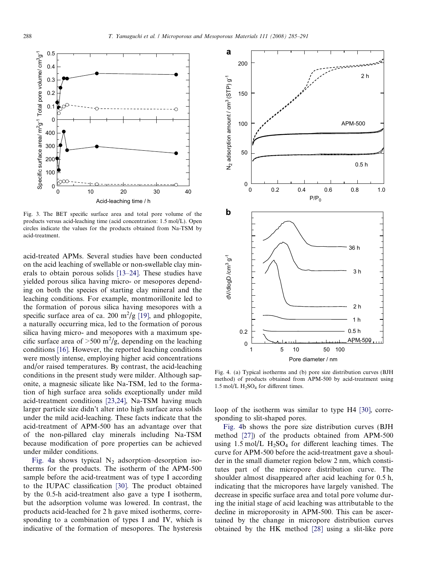<span id="page-3-0"></span>

Fig. 3. The BET specific surface area and total pore volume of the products versus acid-leaching time (acid concentration: 1.5 mol/L). Open circles indicate the values for the products obtained from Na-TSM by acid-treatment.

acid-treated APMs. Several studies have been conducted on the acid leaching of swellable or non-swellable clay minerals to obtain porous solids [\[13–24\].](#page-6-0) These studies have yielded porous silica having micro- or mesopores depending on both the species of starting clay mineral and the leaching conditions. For example, montmorillonite led to the formation of porous silica having mesopores with a specific surface area of ca. 200  $\text{m}^2/\text{g}$  [\[19\]](#page-6-0), and phlogopite, a naturally occurring mica, led to the formation of porous silica having micro- and mesopores with a maximum specific surface area of  $>500 \text{ m}^2/\text{g}$ , depending on the leaching conditions [\[16\].](#page-6-0) However, the reported leaching conditions were mostly intense, employing higher acid concentrations and/or raised temperatures. By contrast, the acid-leaching conditions in the present study were milder. Although saponite, a magnesic silicate like Na-TSM, led to the formation of high surface area solids exceptionally under mild acid-treatment conditions [\[23,24\],](#page-6-0) Na-TSM having much larger particle size didn't alter into high surface area solids under the mild acid-leaching. These facts indicate that the acid-treatment of APM-500 has an advantage over that of the non-pillared clay minerals including Na-TSM because modification of pore properties can be achieved under milder conditions.

Fig. 4a shows typical  $N_2$  adsorption–desorption isotherms for the products. The isotherm of the APM-500 sample before the acid-treatment was of type I according to the IUPAC classification [\[30\]](#page-6-0). The product obtained by the 0.5-h acid-treatment also gave a type I isotherm, but the adsorption volume was lowered. In contrast, the products acid-leached for 2 h gave mixed isotherms, corresponding to a combination of types I and IV, which is indicative of the formation of mesopores. The hysteresis



Fig. 4. (a) Typical isotherms and (b) pore size distribution curves (BJH method) of products obtained from APM-500 by acid-treatment using  $1.5 \text{ mol/L H}_2$ SO<sub>4</sub> for different times.

loop of the isotherm was similar to type H4 [\[30\]](#page-6-0), corresponding to slit-shaped pores.

Fig. 4b shows the pore size distribution curves (BJH method [\[27\]](#page-6-0)) of the products obtained from APM-500 using 1.5 mol/L  $H_2SO_4$  for different leaching times. The curve for APM-500 before the acid-treatment gave a shoulder in the small diameter region below 2 nm, which constitutes part of the micropore distribution curve. The shoulder almost disappeared after acid leaching for 0.5 h, indicating that the micropores have largely vanished. The decrease in specific surface area and total pore volume during the initial stage of acid leaching was attributable to the decline in microporosity in APM-500. This can be ascertained by the change in micropore distribution curves obtained by the HK method [\[28\]](#page-6-0) using a slit-like pore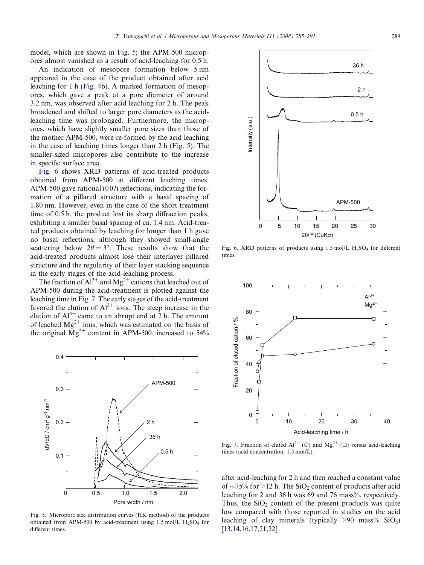model, which are shown in Fig. 5; the APM-500 micropores almost vanished as a result of acid-leaching for 0.5 h.

An indication of mesopore formation below 5 nm appeared in the case of the product obtained after acid leaching for 1 h ([Fig. 4](#page-3-0)b). A marked formation of mesopores, which gave a peak at a pore diameter of around 3.2 nm, was observed after acid leaching for 2 h. The peak broadened and shifted to larger pore diameters as the acidleaching time was prolonged. Furthermore, the micropores, which have slightly smaller pore sizes than those of the mother APM-500, were re-formed by the acid leaching in the case of leaching times longer than 2 h (Fig. 5). The smaller-sized micropores also contribute to the increase in specific surface area.

Fig. 6 shows XRD patterns of acid-treated products obtained from APM-500 at different leaching times. APM-500 gave rational  $(00l)$  reflections, indicating the formation of a pillared structure with a basal spacing of 1.80 nm. However, even in the case of the short treatment time of 0.5 h, the product lost its sharp diffraction peaks, exhibiting a smaller basal spacing of ca. 1.4 nm. Acid-treated products obtained by leaching for longer than 1 h gave no basal reflections, although they showed small-angle scattering below  $2\theta = 3^{\circ}$ . These results show that the acid-treated products almost lose their interlayer pillared structure and the regularity of their layer stacking sequence in the early stages of the acid-leaching process.

The fraction of  $Al^{3+}$  and  $Mg^{2+}$  cations that leached out of APM-500 during the acid-treatment is plotted against the leaching time in Fig. 7. The early stages of the acid-treatment favored the elution of  $Al^{3+}$  ions. The steep increase in the elution of  $Al^{3+}$  came to an abrupt end at 2 h. The amount of leached  $Mg^{2+}$  ions, which was estimated on the basis of the original  $Mg^{2+}$  content in APM-500, increased to 54%



Fig. 5. Micropore size distribution curves (HK method) of the products obtained from APM-500 by acid-treatment using  $1.5 \text{ mol/L H}_2$  for different times.



Fig. 6. XRD patterns of products using  $1.5 \text{ mol/L H}_2\text{SO}_4$  for different times.



Fig. 7. Fraction of eluted  $Al^{3+}$  (O) and  $Mg^{2+}$  ( $\square$ ) versus acid-leaching times (acid concentration: 1.5 mol/L).

after acid-leaching for 2 h and then reached a constant value of  $\sim$ 75% for >12 h. The SiO<sub>2</sub> content of products after acid leaching for 2 and 36 h was 69 and 76 mass%, respectively. Thus, the  $SiO<sub>2</sub>$  content of the present products was quite low compared with those reported in studies on the acid leaching of clay minerals (typically  $>90$  mass% SiO<sub>2</sub>) [\[13,14,16,17,21,22\]](#page-6-0).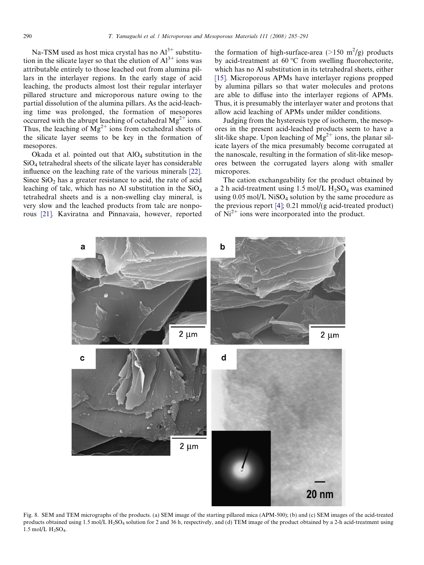<span id="page-5-0"></span>Na-TSM used as host mica crystal has no  $Al^{3+}$  substitution in the silicate layer so that the elution of  $Al^{3+}$  ions was attributable entirely to those leached out from alumina pillars in the interlayer regions. In the early stage of acid leaching, the products almost lost their regular interlayer pillared structure and microporous nature owing to the partial dissolution of the alumina pillars. As the acid-leaching time was prolonged, the formation of mesopores occurred with the abrupt leaching of octahedral  $Mg^{2+}$  ions. Thus, the leaching of  $\overline{Mg}^{2+}$  ions from octahedral sheets of the silicate layer seems to be key in the formation of mesopores.

Okada et al. pointed out that  $AIO<sub>4</sub>$  substitution in the SiO4 tetrahedral sheets of the silicate layer has considerable influence on the leaching rate of the various minerals [\[22\]](#page-6-0). Since  $SiO<sub>2</sub>$  has a greater resistance to acid, the rate of acid leaching of talc, which has no Al substitution in the  $SiO<sub>4</sub>$ tetrahedral sheets and is a non-swelling clay mineral, is very slow and the leached products from talc are nonporous [\[21\].](#page-6-0) Kaviratna and Pinnavaia, however, reported the formation of high-surface-area ( $>150$  m<sup>2</sup>/g) products by acid-treatment at  $60^{\circ}$ C from swelling fluorohectorite, which has no Al substitution in its tetrahedral sheets, either [\[15\]](#page-6-0). Microporous APMs have interlayer regions propped by alumina pillars so that water molecules and protons are able to diffuse into the interlayer regions of APMs. Thus, it is presumably the interlayer water and protons that allow acid leaching of APMs under milder conditions.

Judging from the hysteresis type of isotherm, the mesopores in the present acid-leached products seem to have a slit-like shape. Upon leaching of  $Mg^{2+}$  ions, the planar silicate layers of the mica presumably become corrugated at the nanoscale, resulting in the formation of slit-like mesopores between the corrugated layers along with smaller micropores.

The cation exchangeability for the product obtained by a 2 h acid-treatment using 1.5 mol/L  $H_2SO_4$  was examined using  $0.05 \text{ mol/L NiSO}_4$  solution by the same procedure as the previous report [\[4\];](#page-6-0) 0.21 mmol/(g acid-treated product) of  $\text{Ni}^{2+}$  ions were incorporated into the product.



Fig. 8. SEM and TEM micrographs of the products. (a) SEM image of the starting pillared mica (APM-500); (b) and (c) SEM images of the acid-treated products obtained using 1.5 mol/L H<sub>2</sub>SO<sub>4</sub> solution for 2 and 36 h, respectively, and (d) TEM image of the product obtained by a 2-h acid-treatment using 1.5 mol/L  $H_2SO_4$ .